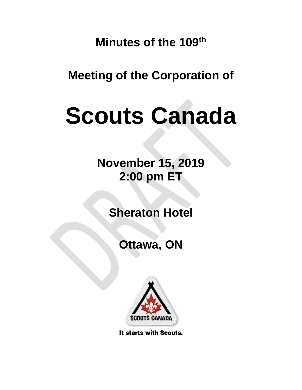**Minutes of the 109th**

**Meeting of the Corporation of**

# **Scouts Canada**

**November 15, 2019 2:00 pm ET**

**Sheraton Hotel**

**Ottawa, ON**



It starts with Scouts.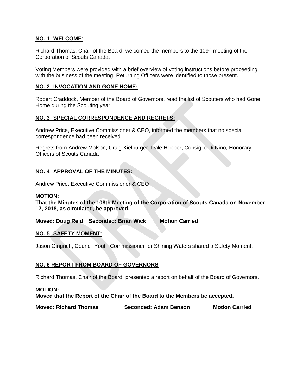## **NO. 1 WELCOME:**

Richard Thomas, Chair of the Board, welcomed the members to the 109<sup>th</sup> meeting of the Corporation of Scouts Canada.

Voting Members were provided with a brief overview of voting instructions before proceeding with the business of the meeting. Returning Officers were identified to those present.

## **NO. 2 INVOCATION AND GONE HOME:**

Robert Craddock, Member of the Board of Governors, read the list of Scouters who had Gone Home during the Scouting year.

# **NO. 3 SPECIAL CORRESPONDENCE AND REGRETS:**

Andrew Price, Executive Commissioner & CEO, informed the members that no special correspondence had been received.

Regrets from Andrew Molson, Craig Kielburger, Dale Hooper, Consiglio Di Nino, Honorary Officers of Scouts Canada

# **NO. 4 APPROVAL OF THE MINUTES:**

Andrew Price, Executive Commissioner & CEO

#### **MOTION:**

**That the Minutes of the 108th Meeting of the Corporation of Scouts Canada on November 17, 2018, as circulated, be approved.**

**Moved: Doug Reid Seconded: Brian Wick Motion Carried**

# **NO. 5 SAFETY MOMENT:**

Jason Gingrich, Council Youth Commissioner for Shining Waters shared a Safety Moment.

# **NO. 6 REPORT FROM BOARD OF GOVERNORS**

Richard Thomas, Chair of the Board, presented a report on behalf of the Board of Governors.

#### **MOTION:**

**Moved that the Report of the Chair of the Board to the Members be accepted.** 

**Moved: Richard Thomas Seconded: Adam Benson Motion Carried**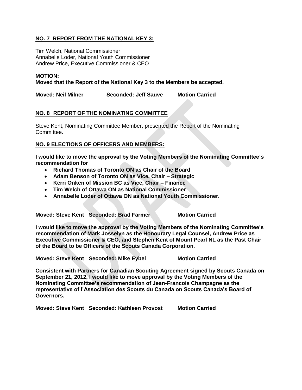# **NO. 7 REPORT FROM THE NATIONAL KEY 3:**

Tim Welch, National Commissioner Annabelle Loder, National Youth Commissioner Andrew Price, Executive Commissioner & CEO

#### **MOTION:**

**Moved that the Report of the National Key 3 to the Members be accepted.** 

**Moved: Neil Milner Seconded: Jeff Sauve Motion Carried**

# **NO. 8 REPORT OF THE NOMINATING COMMITTEE**

Steve Kent, Nominating Committee Member, presented the Report of the Nominating Committee.

### **NO. 9 ELECTIONS OF OFFICERS AND MEMBERS:**

**I would like to move the approval by the Voting Members of the Nominating Committee's recommendation for**

- **Richard Thomas of Toronto ON as Chair of the Board**
- **Adam Benson of Toronto ON as Vice, Chair – Strategic**
- **Kerri Onken of Mission BC as Vice, Chair – Finance**
- **Tim Welch of Ottawa ON as National Commissioner**
- **Annabelle Loder of Ottawa ON as National Youth Commissioner.**

**Moved: Steve Kent Seconded: Brad Farmer Motion Carried**

**I would like to move the approval by the Voting Members of the Nominating Committee's recommendation of Mark Josselyn as the Honourary Legal Counsel, Andrew Price as Executive Commissioner & CEO, and Stephen Kent of Mount Pearl NL as the Past Chair of the Board to be Officers of the Scouts Canada Corporation.** 

**Moved: Steve Kent Seconded: Mike Eybel Motion Carried**

**Consistent with Partners for Canadian Scouting Agreement signed by Scouts Canada on September 21, 2012, I would like to move approval by the Voting Members of the Nominating Committee's recommendation of Jean-Francois Champagne as the representative of l'Association des Scouts du Canada on Scouts Canada's Board of Governors.**

**Moved: Steve Kent Seconded: Kathleen Provost Motion Carried**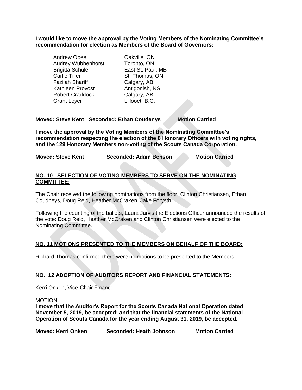**I would like to move the approval by the Voting Members of the Nominating Committee's recommendation for election as Members of the Board of Governors:**

| Andrew Obee               | Oakville, ON      |
|---------------------------|-------------------|
| <b>Audrey Wubbenhorst</b> | Toronto, ON       |
| <b>Brigitta Schuler</b>   | East St. Paul. MB |
| Carlie Tiller             | St. Thomas, ON    |
| Fazilah Shariff           | Calgary, AB       |
| Kathleen Provost          | Antigonish, NS    |
| <b>Robert Craddock</b>    | Calgary, AB       |
| <b>Grant Loyer</b>        | Lillooet, B.C.    |

# **Moved: Steve Kent Seconded: Ethan Coudenys Motion Carried**

**I move the approval by the Voting Members of the Nominating Committee's recommendation respecting the election of the 6 Honorary Officers with voting rights, and the 129 Honorary Members non-voting of the Scouts Canada Corporation.** 

| <b>Moved: Steve Kent</b> | Seconded: Adam Benson | <b>Motion Carried</b> |
|--------------------------|-----------------------|-----------------------|
|--------------------------|-----------------------|-----------------------|

### **NO. 10 SELECTION OF VOTING MEMBERS TO SERVE ON THE NOMINATING COMMITTEE:**

The Chair received the following nominations from the floor: Clinton Christiansen, Ethan Coudneys, Doug Reid, Heather McCraken, Jake Forysth.

Following the counting of the ballots, Laura Jarvis the Elections Officer announced the results of the vote: Doug Reid, Heather McCraken and Clinton Christiansen were elected to the Nominating Committee.

# **NO. 11 MOTIONS PRESENTED TO THE MEMBERS ON BEHALF OF THE BOARD:**

Richard Thomas confirmed there were no motions to be presented to the Members.

# **NO. 12 ADOPTION OF AUDITORS REPORT AND FINANCIAL STATEMENTS:**

Kerri Onken, Vice-Chair Finance

MOTION:

**I move that the Auditor's Report for the Scouts Canada National Operation dated November 5, 2019, be accepted; and that the financial statements of the National Operation of Scouts Canada for the year ending August 31, 2019, be accepted.**

**Moved: Kerri Onken Seconded: Heath Johnson Motion Carried**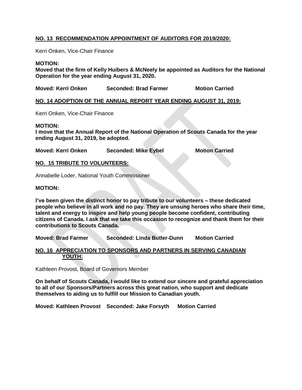# **NO. 13 RECOMMENDATION APPOINTMENT OF AUDITORS FOR 2019/2020:**

Kerri Onken, Vice-Chair Finance

#### **MOTION:**

**Moved that the firm of Kelly Huibers & McNeely be appointed as Auditors for the National Operation for the year ending August 31, 2020.**

**Moved: Kerri Onken Seconded: Brad Farmer Motion Carried**

### **NO. 14 ADOPTION OF THE ANNUAL REPORT YEAR ENDING AUGUST 31, 2019:**

Kerri Onken, Vice-Chair Finance

#### **MOTION:**

**I move that the Annual Report of the National Operation of Scouts Canada for the year ending August 31, 2019, be adopted.**

**Moved: Kerri Onken Seconded: Mike Eybel Motion Carried**

#### **NO. 15 TRIBUTE TO VOLUNTEERS:**

Annabelle Loder, National Youth Commissioner

#### **MOTION:**

**I've been given the distinct honor to pay tribute to our volunteers – these dedicated people who believe in all work and no pay. They are unsung heroes who share their time, talent and energy to inspire and help young people become confident, contributing citizens of Canada. I ask that we take this occasion to recognize and thank them for their contributions to Scouts Canada.**

**Moved: Brad Farmer Seconded: Linda Butler-Dunn Motion Carried**

#### **NO. 16 APPRECIATION TO SPONSORS AND PARTNERS IN SERVING CANADIAN YOUTH:**

Kathleen Provost, Board of Governors Member

**On behalf of Scouts Canada, I would like to extend our sincere and grateful appreciation to all of our Sponsors/Partners across this great nation, who support and dedicate themselves to aiding us to fulfill our Mission to Canadian youth.**

**Moved: Kathleen Provost Seconded: Jake Forsyth Motion Carried**